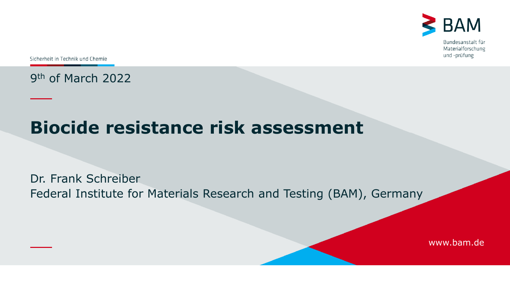

Sicherheit in Technik und Chemie

9th of March 2022

# **Biocide resistance risk assessment**

Dr. Frank Schreiber Federal Institute for Materials Research and Testing (BAM), Germany

www.bam.de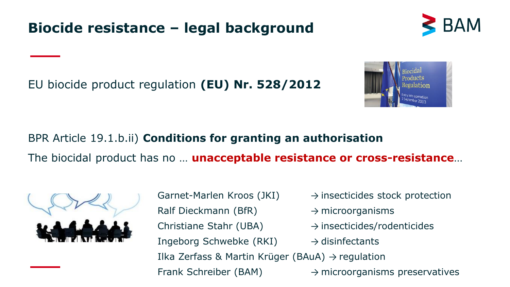

EU biocide product regulation **(EU) Nr. 528/2012** 



BPR Article 19.1.b.ii) **Conditions for granting an authorisation** The biocidal product has no … **unacceptable resistance or cross-resistance**…



Garnet-Marlen Kroos (JKI)  $\rightarrow$  insecticides stock protection Ralf Dieckmann (BfR)  $\rightarrow$  microorganisms Christiane Stahr (UBA)  $\rightarrow$  insecticides/rodenticides Ingeborg Schwebke (RKI)  $\rightarrow$  disinfectants Ilka Zerfass & Martin Krüger (BAuA)  $\rightarrow$  regulation Frank Schreiber (BAM)  $\rightarrow$  microorganisms preservatives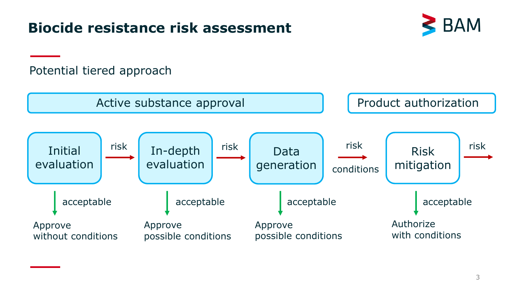# **Biocide resistance risk assessment**



#### Potential tiered approach

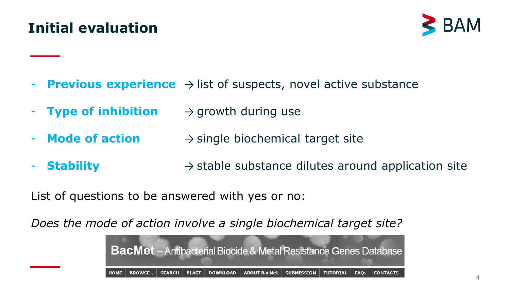# **Initial evaluation**



- **Previous experience** → list of suspects, novel active substance
- **Type of inhibition** → growth during use
- **Mode of action** → single biochemical target site
- **Stability** → stable substance dilutes around application site

List of questions to be answered with yes or no:

*Does the mode of action involve a single biochemical target site?*

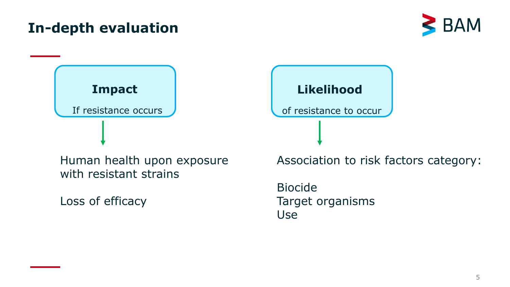





Human health upon exposure with resistant strains

Loss of efficacy

Biocide Target organisms Use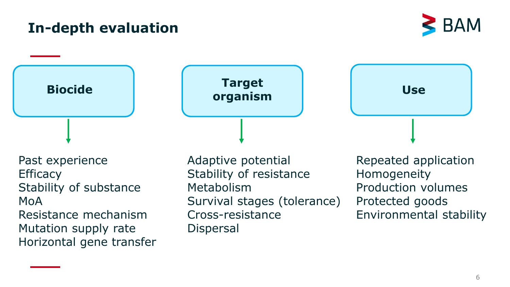



Past experience **Efficacy** Stability of substance MoA Resistance mechanism Mutation supply rate Horizontal gene transfer Adaptive potential Stability of resistance Metabolism Survival stages (tolerance) Cross-resistance Dispersal

Repeated application Homogeneity Production volumes Protected goods Environmental stability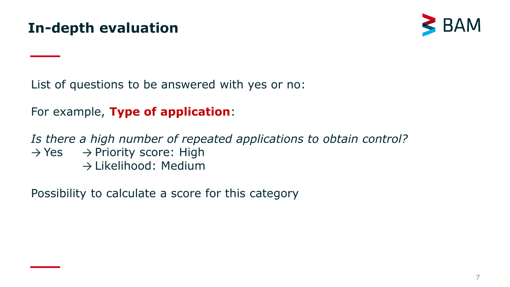

List of questions to be answered with yes or no:

For example, **Type of application**:

*Is there a high number of repeated applications to obtain control?*   $\rightarrow$  Yes  $\rightarrow$  Priority score: High → Likelihood: Medium

Possibility to calculate a score for this category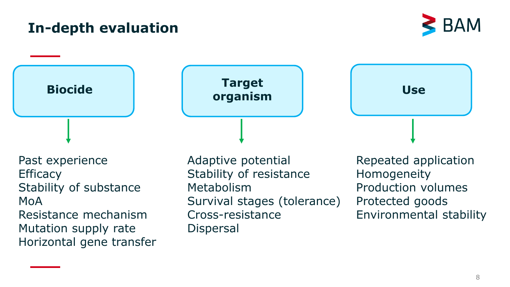



Past experience **Efficacy** Stability of substance MoA Resistance mechanism Mutation supply rate Horizontal gene transfer Adaptive potential Stability of resistance Metabolism Survival stages (tolerance) Cross-resistance Dispersal

Repeated application Homogeneity Production volumes Protected goods Environmental stability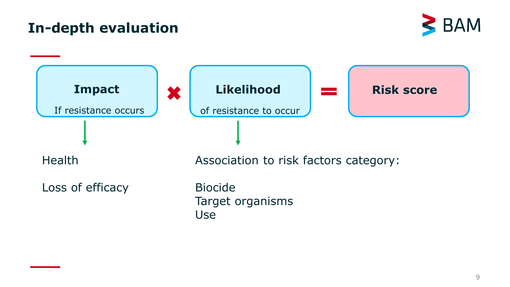

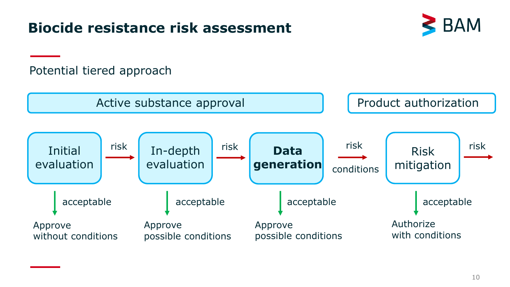# **Biocide resistance risk assessment**



#### Potential tiered approach

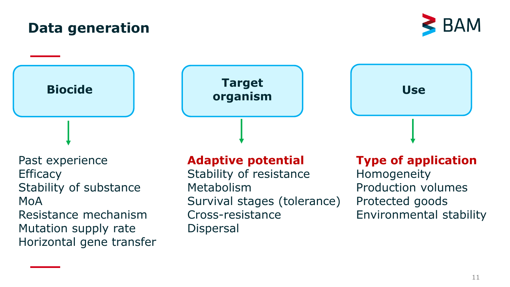#### **Data generation**

Past experience **Efficacy** Stability of substance MoA Resistance mechanism Mutation supply rate Horizontal gene transfer

#### **Adaptive potential**

Stability of resistance Metabolism Survival stages (tolerance) Cross-resistance Dispersal

#### **Type of application**

Homogeneity Production volumes Protected goods Environmental stability

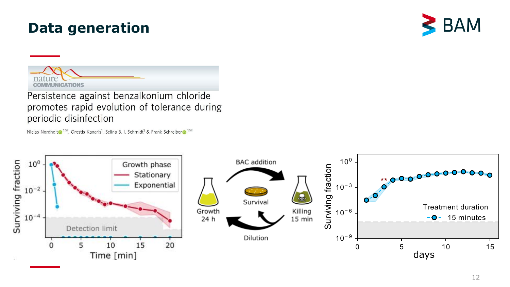#### **Data generation**





Persistence against benzalkonium chloride promotes rapid evolution of tolerance during periodic disinfection

Niclas Nordholt <sup>1⊠</sup>, Orestis Kanaris<sup>1</sup>, Selina B. I. Schmidt<sup>1</sup> & Frank Schreiber <sup>1⊠</sup>

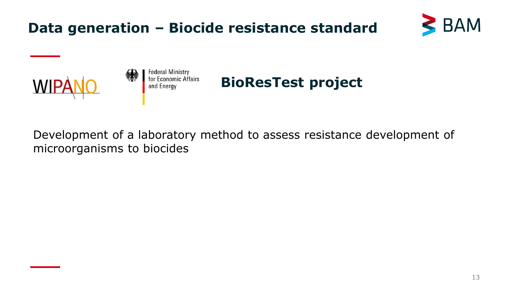# **Data generation – Biocide resistance standard**





Development of a laboratory method to assess resistance development of microorganisms to biocides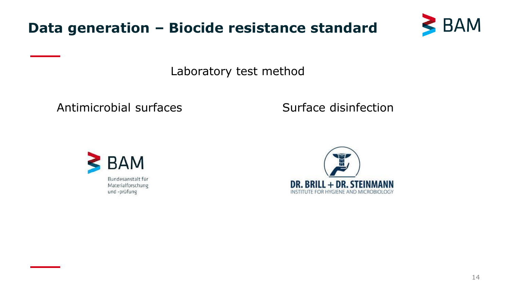



Laboratory test method

Antimicrobial surfaces Surface disinfection



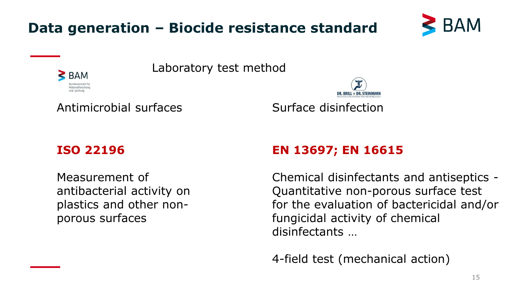



Laboratory test method

#### Antimicrobial surfaces Surface disinfection

#### **ISO 22196**

 $\geq$  BAM Materialforschung und -prüfung

Measurement of antibacterial activity on plastics and other nonporous surfaces

#### **EN 13697; EN 16615**

Chemical disinfectants and antiseptics - Quantitative non-porous surface test for the evaluation of bactericidal and/or fungicidal activity of chemical disinfectants …

4-field test (mechanical action)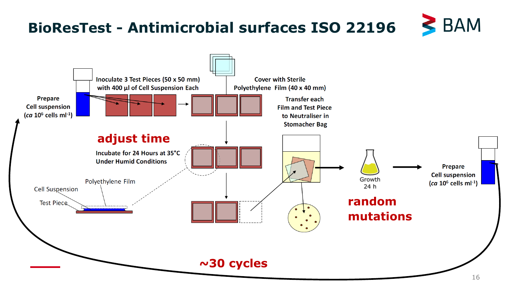# **BioResTest - Antimicrobial surfaces ISO 22196**



 $\geq$  BAM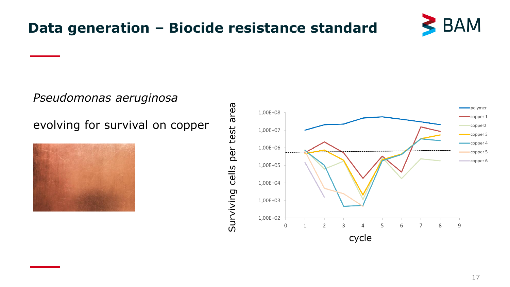

# **Data generation – Biocide resistance standard**

*Pseudomonas aeruginosa*

evolving for survival on copper



cells per test area Surviving cells per test area Surviving



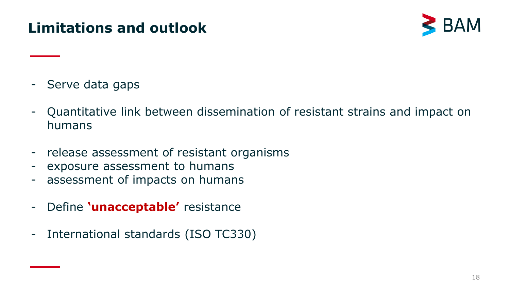# **Limitations and outlook**



- Serve data gaps
- Quantitative link between dissemination of resistant strains and impact on humans
- release assessment of resistant organisms
- exposure assessment to humans
- assessment of impacts on humans
- Define **'unacceptable'** resistance
- International standards (ISO TC330)